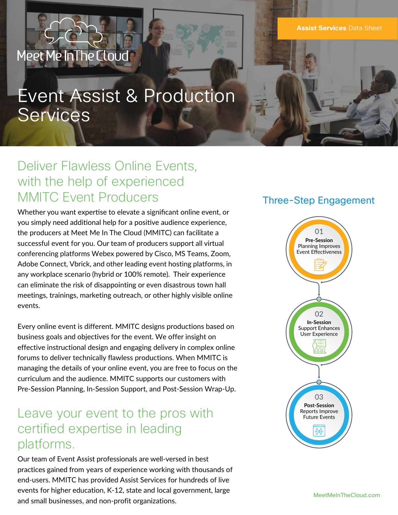**Assist Services** Data Sheet

# Event Assist & Production Services

# Deliver Flawless Online Events, with the help of experienced MMITC Event Producers

Meet Me InThe Cloud

Whether you want expertise to elevate a significant online event, or you simply need additional help for a positive audience experience, the producers at Meet Me In The Cloud (MMITC) can facilitate a successful event for you. Our team of producers support all virtual conferencing platforms Webex powered by Cisco, MS Teams, Zoom, Adobe Connect, Vbrick, and other leading event hosting platforms, in any workplace scenario (hybrid or 100% remote). Their experience can eliminate the risk of disappointing or even disastrous town hall meetings, trainings, marketing outreach, or other highly visible online events.

Every online event is different. MMITC designs productions based on business goals and objectives for the event. We offer insight on effective instructional design and engaging delivery in complex online forums to deliver technically flawless productions. When MMITC is managing the details of your online event, you are free to focus on the curriculum and the audience. MMITC supports our customers with Pre-Session Planning, In-Session Support, and Post-Session Wrap-Up.

### Leave your event to the pros with certified expertise in leading platforms.

Our team of Event Assist professionals are well-versed in best practices gained from years of experience working with thousands of end-users. MMITC has provided Assist Services for hundreds of live events for higher education, K-12, state and local government, large and small businesses, and non-profit organizations.

### Three-Step Engagement